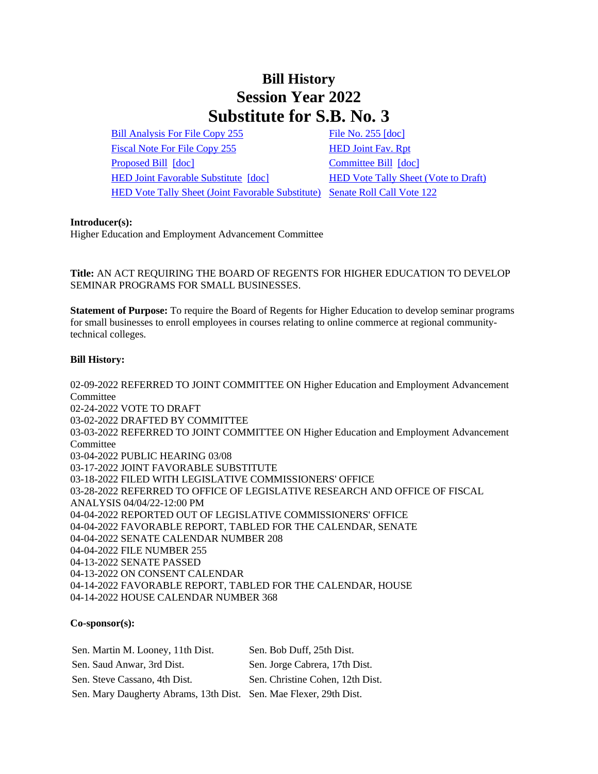## **Bill History Session Year 2022 Substitute for S.B. No. 3**

[Bill Analysis For File Copy 255](/2022/BA/PDF/2022SB-00003-R000255-BA.PDF) [File No. 255](/2022/FC/PDF/2022SB-00003-R000255-FC.PDF) [\[doc\]](https://search.cga.state.ct.us/dl2022/fc/doc/2022SB-00003-R000255-FC.docx) [Fiscal Note For File Copy 255](/2022/FN/PDF/2022SB-00003-R000255-FN.PDF) [HED Joint](/2022/JFR/S/PDF/2022SB-00003-R00HED-JFR.PDF) Fav. Rpt [Proposed Bill](/2022/TOB/S/PDF/2022SB-00003-R00-SB.PDF) [\[doc\]](https://search.cga.state.ct.us/dl2022/TOB/DOC/2022SB-00003-R01-SB.DOCX) [Committee Bill](/2022/TOB/S/PDF/2022SB-00003-R01-SB.PDF) [doc] [HED Joint Favorable Substitute](/2022/TOB/S/PDF/2022SB-00003-R02-SB.PDF) [\[doc\]](https://search.cga.state.ct.us/dl2022/TOB/DOC/2022SB-00003-R02-SB.DOCX) [HED Vote Tally Sheet \(Vote to Draft\)](/2022/TS/S/PDF/2022SB-00003-R00HED-CV3-TS.PDF) [HED Vote Tally Sheet \(Joint Favorable Substitute\)](/2022/TS/S/PDF/2022SB-00003-R00HED-CV54-TS.PDF) [Senate Roll Call Vote 122](/2022/VOTE/S/PDF/2022SV-00122-R00SB00003-SV.PDF) 

## **Introducer(s):**

Higher Education and Employment Advancement Committee

**Title:** AN ACT REQUIRING THE BOARD OF REGENTS FOR HIGHER EDUCATION TO DEVELOP SEMINAR PROGRAMS FOR SMALL BUSINESSES.

**Statement of Purpose:** To require the Board of Regents for Higher Education to develop seminar programs for small businesses to enroll employees in courses relating to online commerce at regional communitytechnical colleges.

## **Bill History:**

02-09-2022 REFERRED TO JOINT COMMITTEE ON Higher Education and Employment Advancement Committee 02-24-2022 VOTE TO DRAFT 03-02-2022 DRAFTED BY COMMITTEE 03-03-2022 REFERRED TO JOINT COMMITTEE ON Higher Education and Employment Advancement Committee 03-04-2022 PUBLIC HEARING 03/08 03-17-2022 JOINT FAVORABLE SUBSTITUTE 03-18-2022 FILED WITH LEGISLATIVE COMMISSIONERS' OFFICE 03-28-2022 REFERRED TO OFFICE OF LEGISLATIVE RESEARCH AND OFFICE OF FISCAL ANALYSIS 04/04/22-12:00 PM 04-04-2022 REPORTED OUT OF LEGISLATIVE COMMISSIONERS' OFFICE 04-04-2022 FAVORABLE REPORT, TABLED FOR THE CALENDAR, SENATE 04-04-2022 SENATE CALENDAR NUMBER 208 04-04-2022 FILE NUMBER 255 04-13-2022 SENATE PASSED 04-13-2022 ON CONSENT CALENDAR 04-14-2022 FAVORABLE REPORT, TABLED FOR THE CALENDAR, HOUSE 04-14-2022 HOUSE CALENDAR NUMBER 368

## **Co-sponsor(s):**

| Sen. Martin M. Looney, 11th Dist.                                  | Sen. Bob Duff, 25th Dist.        |
|--------------------------------------------------------------------|----------------------------------|
| Sen. Saud Anwar, 3rd Dist.                                         | Sen. Jorge Cabrera, 17th Dist.   |
| Sen. Steve Cassano, 4th Dist.                                      | Sen. Christine Cohen, 12th Dist. |
| Sen. Mary Daugherty Abrams, 13th Dist. Sen. Mae Flexer, 29th Dist. |                                  |